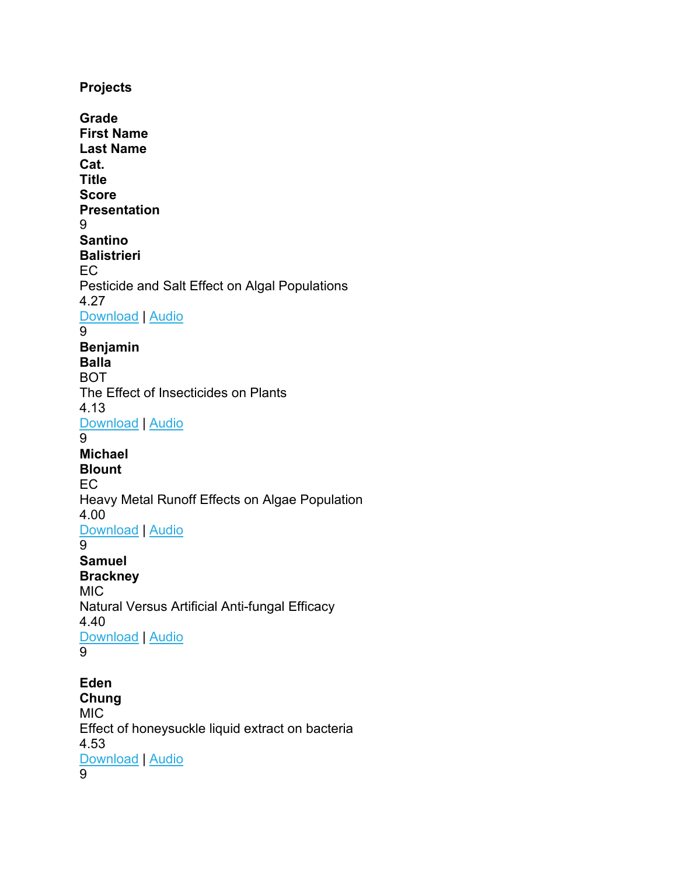**Projects Grade First Name Last Name Cat. Title Score Presentation** 9 **Santino Balistrieri** EC Pesticide and Salt Effect on Algal Populations 4.27 [Download](https://www.pjasregistration.com/api/project/59829b72-3d52-ec11-981f-501ac556709f/presentation/0a3d3938-2d79-4522-9633-5aa9b1bf8ceb) | [Audio](https://www.pjasregistration.com/api/project/59829b72-3d52-ec11-981f-501ac556709f/presentation/0a3d3938-2d79-4522-9633-5aa9b1bf8ceb/audio) 9 **Benjamin Balla** BOT The Effect of Insecticides on Plants 4.13 [Download](https://www.pjasregistration.com/api/project/9163427b-3d52-ec11-981f-501ac556709f/presentation/d207cfbf-9e24-4586-98c7-e87e817aff6d) | [Audio](https://www.pjasregistration.com/api/project/9163427b-3d52-ec11-981f-501ac556709f/presentation/d207cfbf-9e24-4586-98c7-e87e817aff6d/audio) 9 **Michael Blount** EC Heavy Metal Runoff Effects on Algae Population 4.00 [Download](https://www.pjasregistration.com/api/project/3a4390c8-1253-ec11-981f-501ac556709f/presentation/5c71d0ec-4fc6-46e6-af67-bb3b52588bdf) | [Audio](https://www.pjasregistration.com/api/project/3a4390c8-1253-ec11-981f-501ac556709f/presentation/5c71d0ec-4fc6-46e6-af67-bb3b52588bdf/audio) 9 **Samuel Brackney** MIC Natural Versus Artificial Anti-fungal Efficacy 4.40 [Download](https://www.pjasregistration.com/api/project/d872520d-1353-ec11-981f-501ac556709f/presentation/e63c20c1-0618-409c-bd1e-8a24a2ccaa05) | [Audio](https://www.pjasregistration.com/api/project/d872520d-1353-ec11-981f-501ac556709f/presentation/e63c20c1-0618-409c-bd1e-8a24a2ccaa05/audio) 9 **Eden Chung**

MIC Effect of honeysuckle liquid extract on bacteria 4.53 [Download](https://www.pjasregistration.com/api/project/78efd8c0-3a56-ec11-94f6-501ac5e8c152/presentation/6dc879bc-0683-42d3-9e19-4a85cb734e15) | [Audio](https://www.pjasregistration.com/api/project/78efd8c0-3a56-ec11-94f6-501ac5e8c152/presentation/6dc879bc-0683-42d3-9e19-4a85cb734e15/audio)

 $\overline{9}$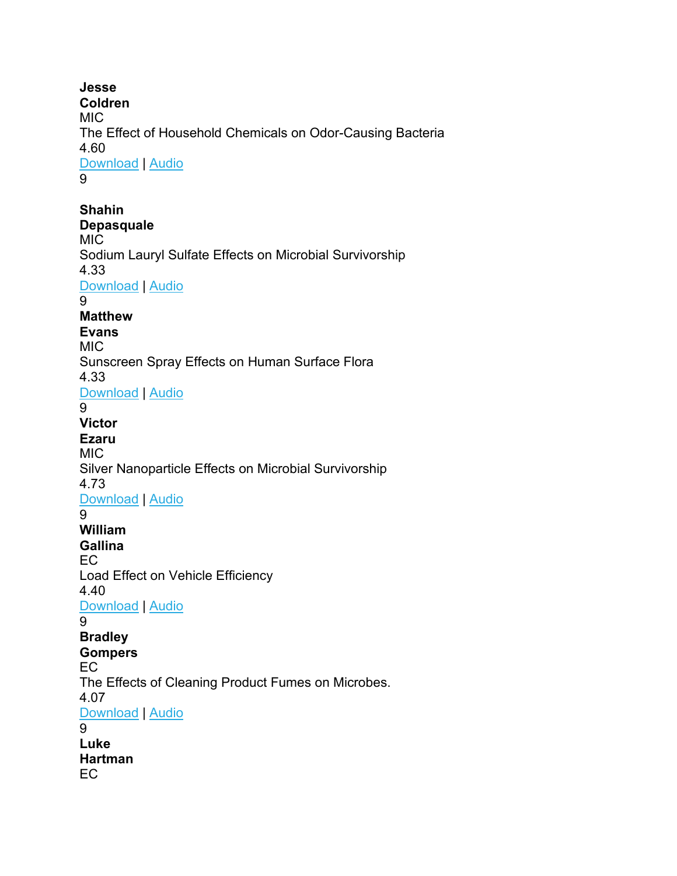**Jesse Coldren** MIC The Effect of Household Chemicals on Odor-Causing Bacteria 4.60 [Download](https://www.pjasregistration.com/api/project/62829b72-3d52-ec11-981f-501ac556709f/presentation/72426772-97c4-4607-9c28-20472f529873) | [Audio](https://www.pjasregistration.com/api/project/62829b72-3d52-ec11-981f-501ac556709f/presentation/72426772-97c4-4607-9c28-20472f529873/audio)

9

**Shahin Depasquale** MIC Sodium Lauryl Sulfate Effects on Microbial Survivorship 4.33 [Download](https://www.pjasregistration.com/api/project/c576b51c-3f52-ec11-981f-501ac556709f/presentation/dd64d4cb-1a2a-4fcc-be5c-d9a3a1eae6e2) | [Audio](https://www.pjasregistration.com/api/project/c576b51c-3f52-ec11-981f-501ac556709f/presentation/dd64d4cb-1a2a-4fcc-be5c-d9a3a1eae6e2/audio) 9 **Matthew Evans** MIC Sunscreen Spray Effects on Human Surface Flora 4.33 [Download](https://www.pjasregistration.com/api/project/da72520d-1353-ec11-981f-501ac556709f/presentation/92b9e25c-1642-420f-975b-80cd38407695) | [Audio](https://www.pjasregistration.com/api/project/da72520d-1353-ec11-981f-501ac556709f/presentation/92b9e25c-1642-420f-975b-80cd38407695/audio) 9 **Victor Ezaru** MIC. Silver Nanoparticle Effects on Microbial Survivorship 4.73 [Download](https://www.pjasregistration.com/api/project/2d5f1c2b-3d52-ec11-981f-501ac556709f/presentation/b40c0204-ffa0-4d0e-9f6d-039572aa09d7) | [Audio](https://www.pjasregistration.com/api/project/2d5f1c2b-3d52-ec11-981f-501ac556709f/presentation/b40c0204-ffa0-4d0e-9f6d-039572aa09d7/audio) 9 **William Gallina** EC Load Effect on Vehicle Efficiency 4.40 [Download](https://www.pjasregistration.com/api/project/70822213-3f52-ec11-981f-501ac556709f/presentation/9e72df37-3a77-4b3d-89a5-7746a2aad76a) | [Audio](https://www.pjasregistration.com/api/project/70822213-3f52-ec11-981f-501ac556709f/presentation/9e72df37-3a77-4b3d-89a5-7746a2aad76a/audio) 9 **Bradley Gompers** EC The Effects of Cleaning Product Fumes on Microbes. 4.07 [Download](https://www.pjasregistration.com/api/project/a98e5ec7-1353-ec11-981f-501ac556709f/presentation/2196024f-e0cb-4ee7-95bd-ff87fff6c19c) | [Audio](https://www.pjasregistration.com/api/project/a98e5ec7-1353-ec11-981f-501ac556709f/presentation/2196024f-e0cb-4ee7-95bd-ff87fff6c19c/audio) 9 **Luke Hartman** EC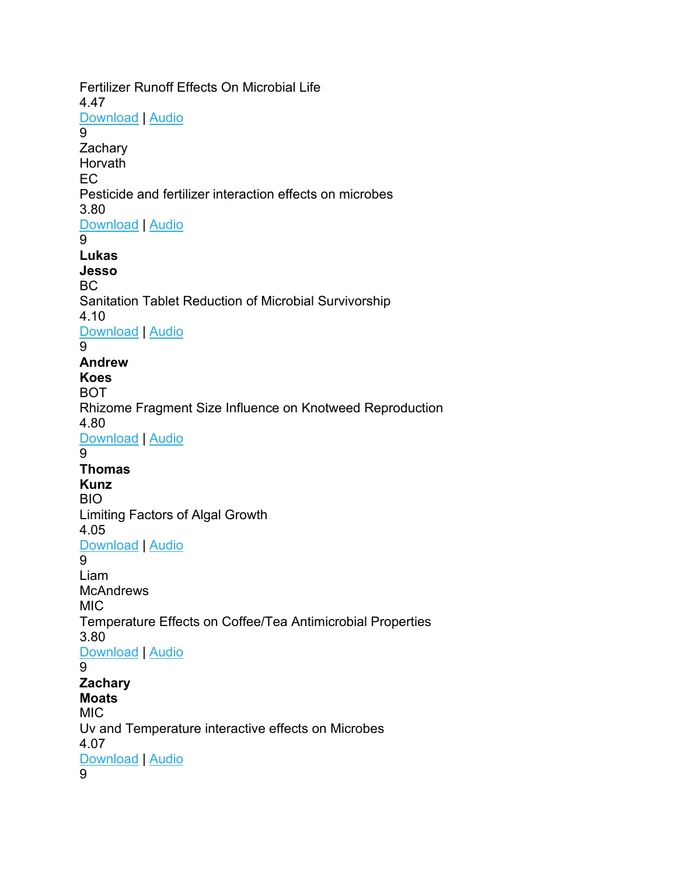Fertilizer Runoff Effects On Microbial Life 4.47 [Download](https://www.pjasregistration.com/api/project/ef3b065a-1353-ec11-981f-501ac556709f/presentation/75c29ac9-32f7-4d48-8b31-995ce4819d45) | [Audio](https://www.pjasregistration.com/api/project/ef3b065a-1353-ec11-981f-501ac556709f/presentation/75c29ac9-32f7-4d48-8b31-995ce4819d45/audio) 9 **Zachary** Horvath EC Pesticide and fertilizer interaction effects on microbes 3.80 [Download](https://www.pjasregistration.com/api/project/4a1e5554-1453-ec11-981f-501ac556709f/presentation/98e69dd5-55f1-4424-a702-e071051b21b5) | [Audio](https://www.pjasregistration.com/api/project/4a1e5554-1453-ec11-981f-501ac556709f/presentation/98e69dd5-55f1-4424-a702-e071051b21b5/audio)  $\overline{9}$ **Lukas Jesso** BC Sanitation Tablet Reduction of Microbial Survivorship 4.10 [Download](https://www.pjasregistration.com/api/project/d6ec4948-3d52-ec11-981f-501ac556709f/presentation/1e456c3c-e7ac-4d29-abd4-3e99a09e4af7) | [Audio](https://www.pjasregistration.com/api/project/d6ec4948-3d52-ec11-981f-501ac556709f/presentation/1e456c3c-e7ac-4d29-abd4-3e99a09e4af7/audio) 9 **Andrew Koes** BOT Rhizome Fragment Size Influence on Knotweed Reproduction 4.80 [Download](https://www.pjasregistration.com/api/project/53829b72-3d52-ec11-981f-501ac556709f/presentation/fa6f2d9f-5d50-46af-9e71-eadf6d4dac9c) | [Audio](https://www.pjasregistration.com/api/project/53829b72-3d52-ec11-981f-501ac556709f/presentation/fa6f2d9f-5d50-46af-9e71-eadf6d4dac9c/audio)  $\mathsf{Q}$ **Thomas Kunz** BIO Limiting Factors of Algal Growth 4.05 [Download](https://www.pjasregistration.com/api/project/d20d8b6c-a05c-ec11-94f6-501ac5e8c152/presentation/ddffaa82-5a51-43c8-b42a-2783eb5d05f4) | [Audio](https://www.pjasregistration.com/api/project/d20d8b6c-a05c-ec11-94f6-501ac5e8c152/presentation/ddffaa82-5a51-43c8-b42a-2783eb5d05f4/audio) 9 Liam **McAndrews** MIC Temperature Effects on Coffee/Tea Antimicrobial Properties 3.80 [Download](https://www.pjasregistration.com/api/project/9e2a43bb-1353-ec11-981f-501ac556709f/presentation/b788abed-be4d-49f0-a21c-f5749cba090f) | [Audio](https://www.pjasregistration.com/api/project/9e2a43bb-1353-ec11-981f-501ac556709f/presentation/b788abed-be4d-49f0-a21c-f5749cba090f/audio) 9 **Zachary Moats** MIC Uv and Temperature interactive effects on Microbes 4.07 [Download](https://www.pjasregistration.com/api/project/6e822213-3f52-ec11-981f-501ac556709f/presentation/c08aa1bd-0512-490f-b3b2-f06ac9992080) | [Audio](https://www.pjasregistration.com/api/project/6e822213-3f52-ec11-981f-501ac556709f/presentation/c08aa1bd-0512-490f-b3b2-f06ac9992080/audio) 9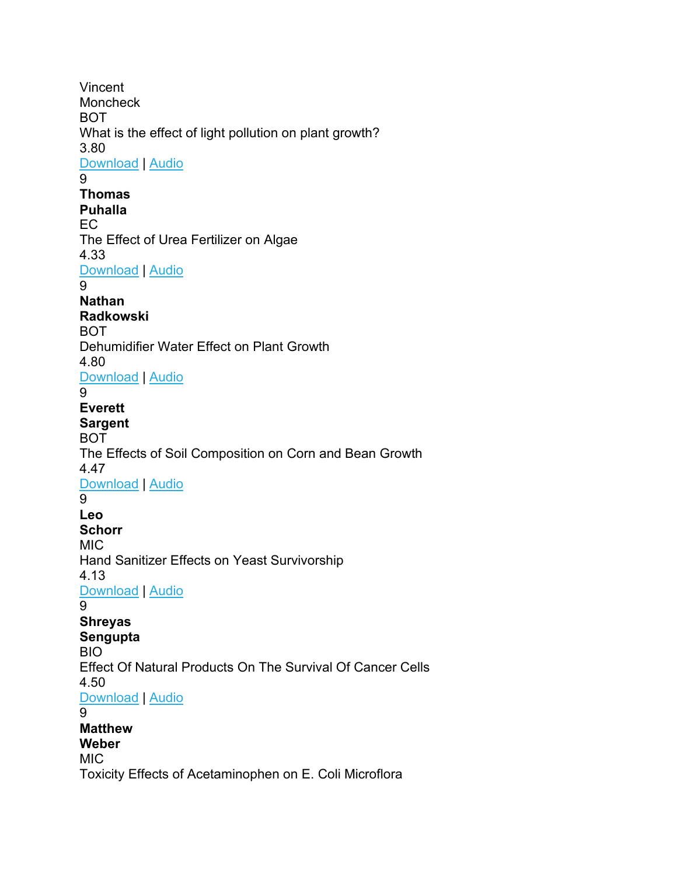Vincent **Moncheck** BOT What is the effect of light pollution on plant growth? 3.80 [Download](https://www.pjasregistration.com/api/project/f13b065a-1353-ec11-981f-501ac556709f/presentation/2ef044a8-21db-46eb-8b31-ba89148620ba) | [Audio](https://www.pjasregistration.com/api/project/f13b065a-1353-ec11-981f-501ac556709f/presentation/2ef044a8-21db-46eb-8b31-ba89148620ba/audio) 9 **Thomas Puhalla** EC The Effect of Urea Fertilizer on Algae 4.33 [Download](https://www.pjasregistration.com/api/project/56829b72-3d52-ec11-981f-501ac556709f/presentation/768d7b11-c395-42cb-959f-8ed2aee8c90e) | [Audio](https://www.pjasregistration.com/api/project/56829b72-3d52-ec11-981f-501ac556709f/presentation/768d7b11-c395-42cb-959f-8ed2aee8c90e/audio) 9 **Nathan Radkowski** BOT Dehumidifier Water Effect on Plant Growth 4.80 [Download](https://www.pjasregistration.com/api/project/5d4dceb1-3d52-ec11-981f-501ac556709f/presentation/73693cf1-7165-4fc7-96fe-f5d8823a7f26) | [Audio](https://www.pjasregistration.com/api/project/5d4dceb1-3d52-ec11-981f-501ac556709f/presentation/73693cf1-7165-4fc7-96fe-f5d8823a7f26/audio) 9 **Everett Sargent** BOT The Effects of Soil Composition on Corn and Bean Growth 4.47 [Download](https://www.pjasregistration.com/api/project/8f63427b-3d52-ec11-981f-501ac556709f/presentation/c865e511-64a7-45c7-904c-8621493c492e) | [Audio](https://www.pjasregistration.com/api/project/8f63427b-3d52-ec11-981f-501ac556709f/presentation/c865e511-64a7-45c7-904c-8621493c492e/audio) 9 **Leo Schorr** MIC Hand Sanitizer Effects on Yeast Survivorship 4.13 [Download](https://www.pjasregistration.com/api/project/df9be523-1353-ec11-981f-501ac556709f/presentation/a451ba11-7f37-47b9-91ec-f618f29c0b31) | [Audio](https://www.pjasregistration.com/api/project/df9be523-1353-ec11-981f-501ac556709f/presentation/a451ba11-7f37-47b9-91ec-f618f29c0b31/audio) 9 **Shreyas Sengupta** BIO Effect Of Natural Products On The Survival Of Cancer Cells 4.50 [Download](https://www.pjasregistration.com/api/project/5c829b72-3d52-ec11-981f-501ac556709f/presentation/b655f400-d8a3-4de1-b31c-f52bd02334b0) | [Audio](https://www.pjasregistration.com/api/project/5c829b72-3d52-ec11-981f-501ac556709f/presentation/b655f400-d8a3-4de1-b31c-f52bd02334b0/audio) 9 **Matthew Weber** MIC Toxicity Effects of Acetaminophen on E. Coli Microflora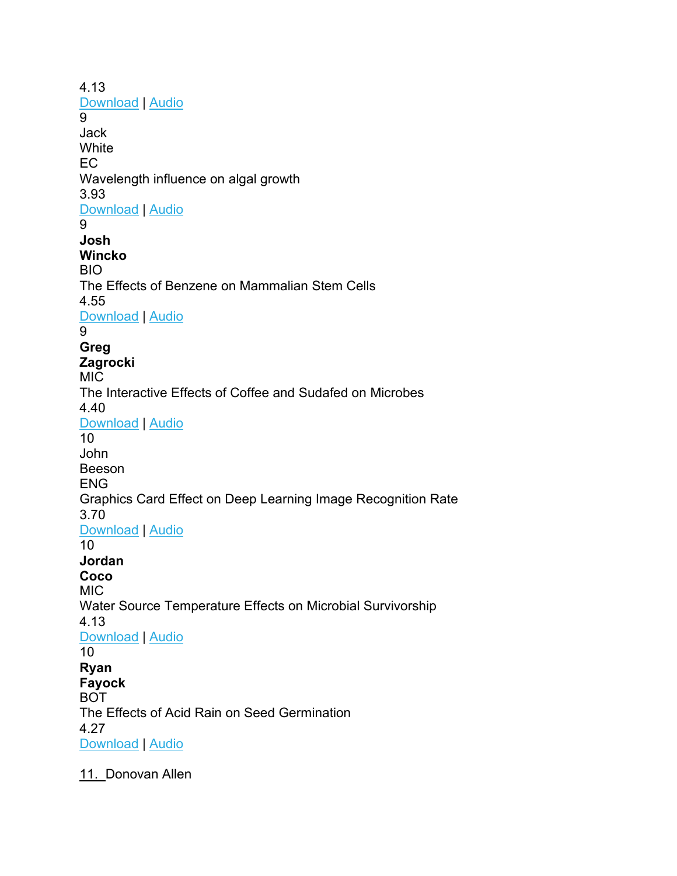4.13 [Download](https://www.pjasregistration.com/api/project/dc72520d-1353-ec11-981f-501ac556709f/presentation/0e7a4734-5c6e-4d25-9a10-0cfafd6fad1c) | [Audio](https://www.pjasregistration.com/api/project/dc72520d-1353-ec11-981f-501ac556709f/presentation/0e7a4734-5c6e-4d25-9a10-0cfafd6fad1c/audio) 9 Jack **White** EC Wavelength influence on algal growth 3.93 [Download](https://www.pjasregistration.com/api/project/88091843-1453-ec11-981f-501ac556709f/presentation/e7fa8304-4a46-44c1-b6ae-998082572c87) | [Audio](https://www.pjasregistration.com/api/project/88091843-1453-ec11-981f-501ac556709f/presentation/e7fa8304-4a46-44c1-b6ae-998082572c87/audio) 9 **Josh Wincko** BIO The Effects of Benzene on Mammalian Stem Cells 4.55 [Download](https://www.pjasregistration.com/api/project/b11ee269-7257-ec11-94f6-501ac5e8c152/presentation/85404c02-5770-41de-8e84-1178869412ae) | [Audio](https://www.pjasregistration.com/api/project/b11ee269-7257-ec11-94f6-501ac5e8c152/presentation/85404c02-5770-41de-8e84-1178869412ae/audio) 9 **Greg Zagrocki** MIC The Interactive Effects of Coffee and Sudafed on Microbes 4.40 [Download](https://www.pjasregistration.com/api/project/60829b72-3d52-ec11-981f-501ac556709f/presentation/f4036e49-5455-49a0-8864-3affa873ef34) | [Audio](https://www.pjasregistration.com/api/project/60829b72-3d52-ec11-981f-501ac556709f/presentation/f4036e49-5455-49a0-8864-3affa873ef34/audio) 10 John Beeson ENG Graphics Card Effect on Deep Learning Image Recognition Rate 3.70 [Download](https://www.pjasregistration.com/api/project/8b63427b-3d52-ec11-981f-501ac556709f/presentation/ac4204f8-cd6f-4fcd-9151-9ab618ea9de7) | [Audio](https://www.pjasregistration.com/api/project/8b63427b-3d52-ec11-981f-501ac556709f/presentation/ac4204f8-cd6f-4fcd-9151-9ab618ea9de7/audio) 10 **Jordan Coco** MIC Water Source Temperature Effects on Microbial Survivorship 4.13 [Download](https://www.pjasregistration.com/api/project/7fdc5f7e-cd52-ec11-981f-501ac556709f/presentation/452dd39e-0806-4de1-978f-8aafcef263b0) | [Audio](https://www.pjasregistration.com/api/project/7fdc5f7e-cd52-ec11-981f-501ac556709f/presentation/452dd39e-0806-4de1-978f-8aafcef263b0/audio) 10 **Ryan Fayock** BOT The Effects of Acid Rain on Seed Germination 4.27 [Download](https://www.pjasregistration.com/api/project/8d63427b-3d52-ec11-981f-501ac556709f/presentation/36aeb228-d037-4333-9793-c4f4309b3b80) | [Audio](https://www.pjasregistration.com/api/project/8d63427b-3d52-ec11-981f-501ac556709f/presentation/36aeb228-d037-4333-9793-c4f4309b3b80/audio)

11. Donovan Allen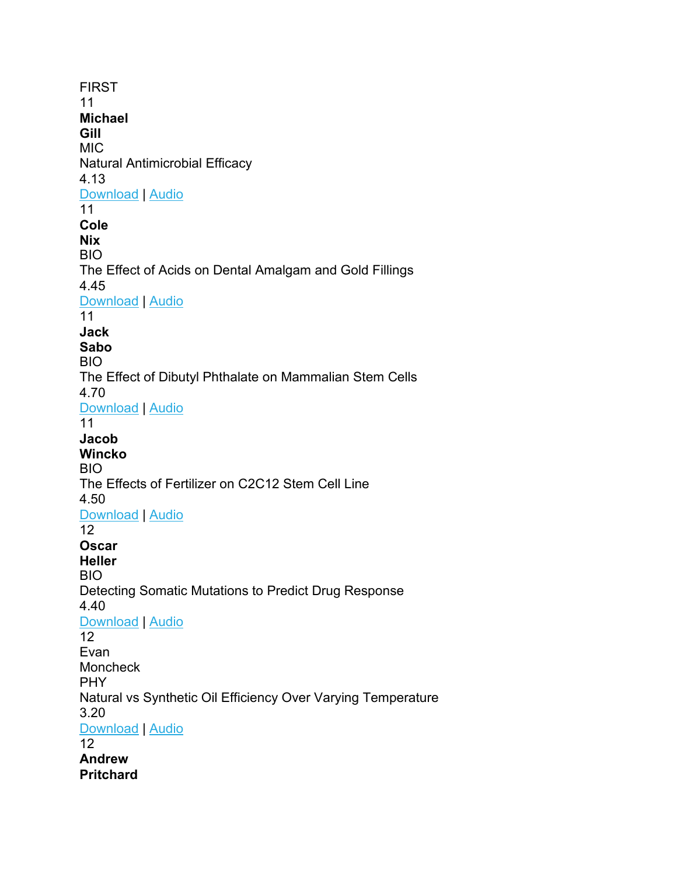FIRST 11 **Michael Gill** MIC Natural Antimicrobial Efficacy 4.13 [Download](https://www.pjasregistration.com/api/project/5e829b72-3d52-ec11-981f-501ac556709f/presentation/4a8c3143-4bf3-40ba-a3a3-712874dca798) | [Audio](https://www.pjasregistration.com/api/project/5e829b72-3d52-ec11-981f-501ac556709f/presentation/4a8c3143-4bf3-40ba-a3a3-712874dca798/audio) 11 **Cole Nix** BIO The Effect of Acids on Dental Amalgam and Gold Fillings 4.45 [Download](https://www.pjasregistration.com/api/project/51b5ed34-3c52-ec11-981f-501ac556709f/presentation/0f3fedbf-92f3-43e5-9b71-b0985a9445b0) | [Audio](https://www.pjasregistration.com/api/project/51b5ed34-3c52-ec11-981f-501ac556709f/presentation/0f3fedbf-92f3-43e5-9b71-b0985a9445b0/audio) 11 **Jack Sabo** BIO The Effect of Dibutyl Phthalate on Mammalian Stem Cells 4.70 [Download](https://www.pjasregistration.com/api/project/58829b72-3d52-ec11-981f-501ac556709f/presentation/b22ea20b-b9ee-474f-a79c-60b869d31a42) | [Audio](https://www.pjasregistration.com/api/project/58829b72-3d52-ec11-981f-501ac556709f/presentation/b22ea20b-b9ee-474f-a79c-60b869d31a42/audio) 11 **Jacob Wincko** BIO The Effects of Fertilizer on C2C12 Stem Cell Line 4.50 [Download](https://www.pjasregistration.com/api/project/efee311e-dc53-ec11-981f-501ac556709f/presentation/dddcf7d2-f0be-42b8-b21a-3528483ef8bc) | [Audio](https://www.pjasregistration.com/api/project/efee311e-dc53-ec11-981f-501ac556709f/presentation/dddcf7d2-f0be-42b8-b21a-3528483ef8bc/audio) 12 **Oscar Heller** BIO Detecting Somatic Mutations to Predict Drug Response 4.40 [Download](https://www.pjasregistration.com/api/project/1ea849b7-1253-ec11-981f-501ac556709f/presentation/c244c843-0671-49f8-87f4-530f7f48efa5) | [Audio](https://www.pjasregistration.com/api/project/1ea849b7-1253-ec11-981f-501ac556709f/presentation/c244c843-0671-49f8-87f4-530f7f48efa5/audio) 12 Evan Moncheck PHY Natural vs Synthetic Oil Efficiency Over Varying Temperature 3.20 [Download](https://www.pjasregistration.com/api/project/f45d24b3-8351-ec11-981f-501ac556709f/presentation/b344d0b6-2e98-4a8c-9874-a3b77ea0d045) | [Audio](https://www.pjasregistration.com/api/project/f45d24b3-8351-ec11-981f-501ac556709f/presentation/b344d0b6-2e98-4a8c-9874-a3b77ea0d045/audio) 12 **Andrew Pritchard**